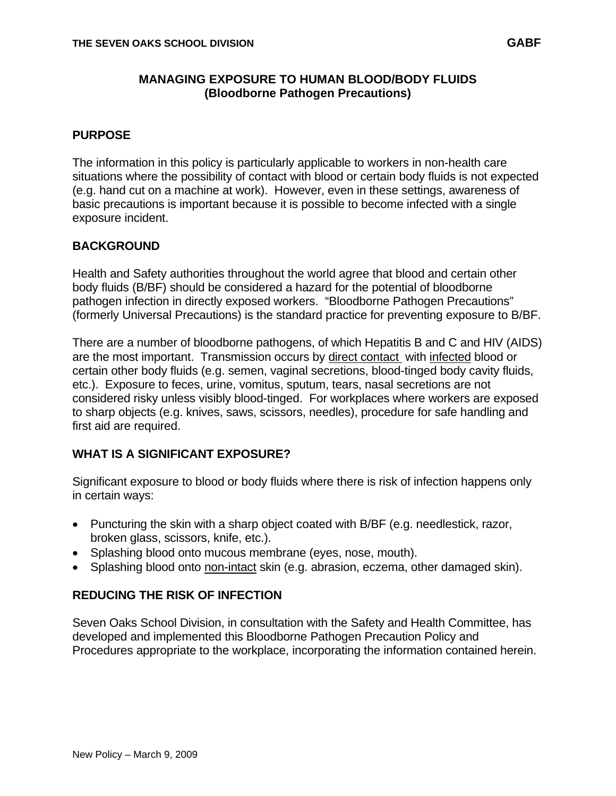## **MANAGING EXPOSURE TO HUMAN BLOOD/BODY FLUIDS (Bloodborne Pathogen Precautions)**

## **PURPOSE**

The information in this policy is particularly applicable to workers in non-health care situations where the possibility of contact with blood or certain body fluids is not expected (e.g. hand cut on a machine at work). However, even in these settings, awareness of basic precautions is important because it is possible to become infected with a single exposure incident.

## **BACKGROUND**

Health and Safety authorities throughout the world agree that blood and certain other body fluids (B/BF) should be considered a hazard for the potential of bloodborne pathogen infection in directly exposed workers. "Bloodborne Pathogen Precautions" (formerly Universal Precautions) is the standard practice for preventing exposure to B/BF.

There are a number of bloodborne pathogens, of which Hepatitis B and C and HIV (AIDS) are the most important. Transmission occurs by direct contact with infected blood or certain other body fluids (e.g. semen, vaginal secretions, blood-tinged body cavity fluids, etc.). Exposure to feces, urine, vomitus, sputum, tears, nasal secretions are not considered risky unless visibly blood-tinged. For workplaces where workers are exposed to sharp objects (e.g. knives, saws, scissors, needles), procedure for safe handling and first aid are required.

#### **WHAT IS A SIGNIFICANT EXPOSURE?**

Significant exposure to blood or body fluids where there is risk of infection happens only in certain ways:

- Puncturing the skin with a sharp object coated with B/BF (e.g. needlestick, razor, broken glass, scissors, knife, etc.).
- Splashing blood onto mucous membrane (eyes, nose, mouth).
- Splashing blood onto non-intact skin (e.g. abrasion, eczema, other damaged skin).

## **REDUCING THE RISK OF INFECTION**

Seven Oaks School Division, in consultation with the Safety and Health Committee, has developed and implemented this Bloodborne Pathogen Precaution Policy and Procedures appropriate to the workplace, incorporating the information contained herein.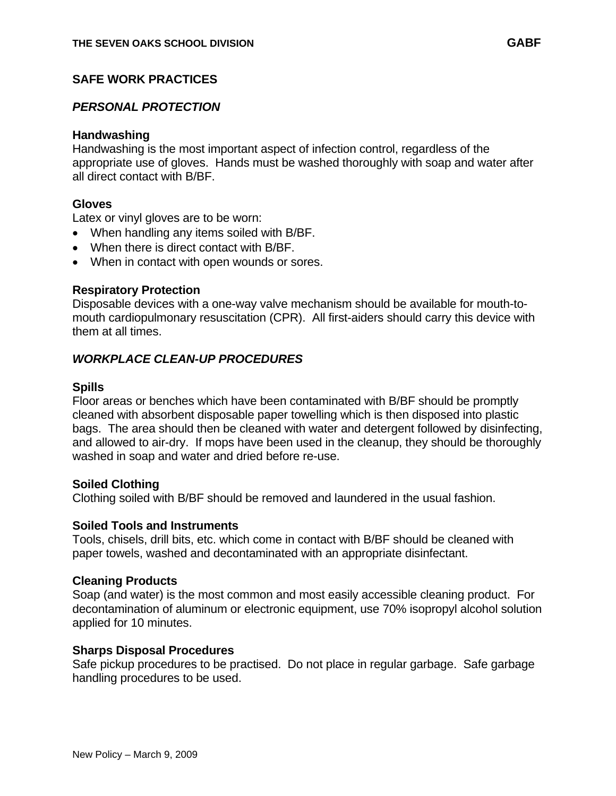# **SAFE WORK PRACTICES**

# *PERSONAL PROTECTION*

#### **Handwashing**

Handwashing is the most important aspect of infection control, regardless of the appropriate use of gloves. Hands must be washed thoroughly with soap and water after all direct contact with B/BF.

## **Gloves**

Latex or vinyl gloves are to be worn:

- When handling any items soiled with B/BF.
- When there is direct contact with B/BF.
- When in contact with open wounds or sores.

## **Respiratory Protection**

Disposable devices with a one-way valve mechanism should be available for mouth-tomouth cardiopulmonary resuscitation (CPR). All first-aiders should carry this device with them at all times.

## *WORKPLACE CLEAN-UP PROCEDURES*

## **Spills**

Floor areas or benches which have been contaminated with B/BF should be promptly cleaned with absorbent disposable paper towelling which is then disposed into plastic bags. The area should then be cleaned with water and detergent followed by disinfecting, and allowed to air-dry. If mops have been used in the cleanup, they should be thoroughly washed in soap and water and dried before re-use.

#### **Soiled Clothing**

Clothing soiled with B/BF should be removed and laundered in the usual fashion.

#### **Soiled Tools and Instruments**

Tools, chisels, drill bits, etc. which come in contact with B/BF should be cleaned with paper towels, washed and decontaminated with an appropriate disinfectant.

#### **Cleaning Products**

Soap (and water) is the most common and most easily accessible cleaning product. For decontamination of aluminum or electronic equipment, use 70% isopropyl alcohol solution applied for 10 minutes.

#### **Sharps Disposal Procedures**

Safe pickup procedures to be practised. Do not place in regular garbage. Safe garbage handling procedures to be used.